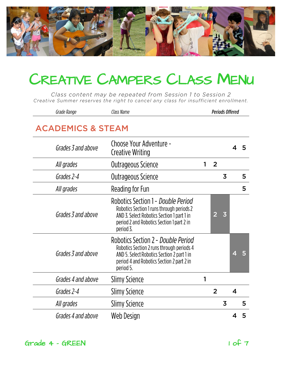

Class content may be repeated from Session 1 to Session 2 Creative Summer reserves the right to cancel any class for insufficient enrollment.

| Grades 4 and above           | Web Design                                                                                                                                                                              |                        |                |                |                         | 5 |  |  |  |
|------------------------------|-----------------------------------------------------------------------------------------------------------------------------------------------------------------------------------------|------------------------|----------------|----------------|-------------------------|---|--|--|--|
| All grades                   | <b>Slimy Science</b>                                                                                                                                                                    |                        |                | 3              |                         | 5 |  |  |  |
| Grades 2-4                   | <b>Slimy Science</b>                                                                                                                                                                    |                        | $\overline{2}$ |                | $\overline{\mathbf{4}}$ |   |  |  |  |
| Grades 4 and above           | Slimy Science                                                                                                                                                                           | 1                      |                |                |                         |   |  |  |  |
| Grades 3 and above           | Robotics Section 2 - Double Period<br>Robotics Section 2 runs through periods 4<br>AND 5. Select Robotics Section 2 part 1 in<br>period 4 and Robotics Section 2 part 2 in<br>period 5. |                        |                |                | 4                       | 5 |  |  |  |
| Grades 3 and above           | Robotics Section 1 - Double Period<br>Robotics Section 1 runs through periods 2<br>AND 3. Select Robotics Section 1 part 1 in<br>period 2 and Robotics Section 1 part 2 in<br>period 3. |                        | 2              | $\overline{3}$ |                         |   |  |  |  |
| All grades                   | Reading for Fun                                                                                                                                                                         |                        |                |                |                         | 5 |  |  |  |
| Grades 2-4                   | Outrageous Science                                                                                                                                                                      |                        |                | $\overline{3}$ |                         | 5 |  |  |  |
| All grades                   | Outrageous Science                                                                                                                                                                      | 1                      | $\overline{2}$ |                |                         |   |  |  |  |
| Grades 3 and above           | Choose Your Adventure -<br>Creative Writing                                                                                                                                             |                        |                |                |                         |   |  |  |  |
| <b>ACADEMICS &amp; STEAM</b> |                                                                                                                                                                                         |                        |                |                |                         |   |  |  |  |
| Grade Range                  | Class Name                                                                                                                                                                              | <b>Periods Offered</b> |                |                |                         |   |  |  |  |

Grade 4 - GREEN 1 of 7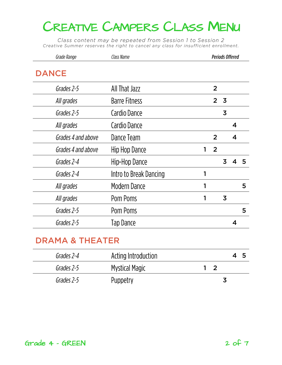Class content may be repeated from Session 1 to Session 2 Creative Summer reserves the right to cancel any class for insufficient enrollment.

| Grade Range        | Class Name             |   | <b>Periods Offered</b>                    |                         |   |
|--------------------|------------------------|---|-------------------------------------------|-------------------------|---|
| <b>DANCE</b>       |                        |   |                                           |                         |   |
| Grades 2-5         | All That Jazz          |   | $\overline{2}$                            |                         |   |
| All grades         | <b>Barre Fitness</b>   |   | $\overline{\mathbf{3}}$<br>$\overline{2}$ |                         |   |
| Grades 2-5         | Cardio Dance           |   | 3                                         |                         |   |
| All grades         | Cardio Dance           |   |                                           | $\overline{\mathbf{4}}$ |   |
| Grades 4 and above | Dance Team             |   | $\overline{2}$                            | $\overline{\mathbf{4}}$ |   |
| Grades 4 and above | Hip Hop Dance          | 1 | $\overline{2}$                            |                         |   |
| Grades 2-4         | Hip-Hop Dance          |   | 3                                         |                         | 5 |
| Grades 2-4         | Intro to Break Dancing |   |                                           |                         |   |
| All grades         | Modern Dance           |   |                                           |                         | 5 |
| All grades         | Pom Poms               |   | $\overline{3}$                            |                         |   |
| Grades 2-5         | Pom Poms               |   |                                           |                         | 5 |
| Grades 2-5         | <b>Tap Dance</b>       |   |                                           | 4                       |   |
|                    |                        |   |                                           |                         |   |

## **DRAMA & THEATER**

| Grades 2-4 | Acting Introduction |    |
|------------|---------------------|----|
| Grades 2-5 | Mystical Magic      | 12 |
| Grades 2-5 | Puppetry            |    |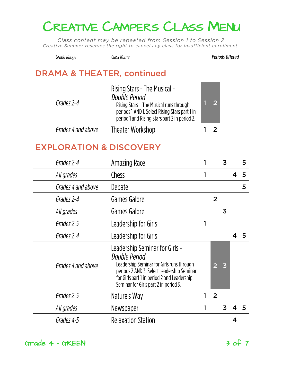Class content may be repeated from Session 1 to Session 2 Creative Summer reserves the right to cancel any class for insufficient enrollment.

| Grade Range | Class Name | <b>Periods Offered</b> |
|-------------|------------|------------------------|
|             |            |                        |

#### **DRAMA & THEATER, continued**

| Grades 2-4         | Rising Stars - The Musical -<br>Double Period<br>Rising Stars - The Musical runs through<br>periods 1 AND 1. Select Rising Stars part 1 in<br>period 1 and Rising Stars part 2 in period 2. | 2 <sup>1</sup> |
|--------------------|---------------------------------------------------------------------------------------------------------------------------------------------------------------------------------------------|----------------|
| Grades 4 and above | Theater Workshop                                                                                                                                                                            |                |
|                    |                                                                                                                                                                                             |                |

### **EXPLORATION & DISCOVERY**

| Amazing Race                                                                                                                                                                                                                       | 1 |                | 3              |   | 5 |
|------------------------------------------------------------------------------------------------------------------------------------------------------------------------------------------------------------------------------------|---|----------------|----------------|---|---|
| Chess                                                                                                                                                                                                                              | 1 |                |                | 4 | 5 |
| Debate                                                                                                                                                                                                                             |   |                |                |   | 5 |
| Games Galore                                                                                                                                                                                                                       |   | $\overline{2}$ |                |   |   |
| Games Galore                                                                                                                                                                                                                       |   |                | $\overline{3}$ |   |   |
| Leadership for Girls                                                                                                                                                                                                               | 1 |                |                |   |   |
| Leadership for Girls                                                                                                                                                                                                               |   |                |                | 4 | 5 |
| Leadership Seminar for Girls -<br>Double Period<br>Leadership Seminar for Girls runs through<br>periods 2 AND 3. Select Leadership Seminar<br>for Girls part 1 in period 2 and Leadership<br>Seminar for Girls part 2 in period 3. |   | $\overline{2}$ | $\overline{3}$ |   |   |
| Nature's Way                                                                                                                                                                                                                       |   | $\overline{2}$ |                |   |   |
| Newspaper                                                                                                                                                                                                                          |   |                | 3              |   | 5 |
| <b>Relaxation Station</b>                                                                                                                                                                                                          |   |                |                | ⊿ |   |
|                                                                                                                                                                                                                                    |   |                |                |   |   |

Grade  $4 - GREEN$  3 of 7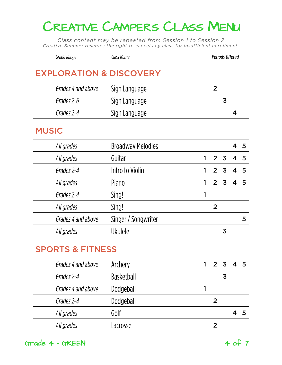Class content may be repeated from Session 1 to Session 2 Creative Summer reserves the right to cancel any class for insufficient enrollment.

| Grade Range | Llass Name | <b>Periods Offered</b> |
|-------------|------------|------------------------|
|             |            |                        |

### **EXPLORATION & DISCOVERY**

| Grades 4 and above | Sign Language |   |
|--------------------|---------------|---|
| Grades 2-6         | Sign Language | 3 |
| Grades 2-4         | Sign Language |   |
|                    |               |   |

#### **MUSIC**

| All grades |                    | <b>Broadway Melodies</b> |   |                |   | 45             |    |
|------------|--------------------|--------------------------|---|----------------|---|----------------|----|
| All grades |                    | Guitar                   | 1 |                |   | 2 3 4 5        |    |
| Grades 2-4 |                    | Intro to Violin          |   | 2 3            |   | $\overline{4}$ | -5 |
| All grades |                    | Piano                    |   | 2 <sub>3</sub> |   | $\overline{4}$ | 5  |
| Grades 2-4 |                    | Sing!                    |   |                |   |                |    |
| All grades |                    | Sing!                    |   | 2              |   |                |    |
|            | Grades 4 and above | Singer / Songwriter      |   |                |   |                | 5  |
| All grades |                    | <b>Ukulele</b>           |   |                | 3 |                |    |
|            |                    |                          |   |                |   |                |    |

| Archery           | 2 3 4 5 |
|-------------------|---------|
| <b>Basketball</b> | 3       |
| Dodgeball         |         |
| Dodgeball         |         |
| Golf              |         |
| Lacrosse          |         |
|                   |         |

 $Grade$   $4 - GREEN$   $4 of 7$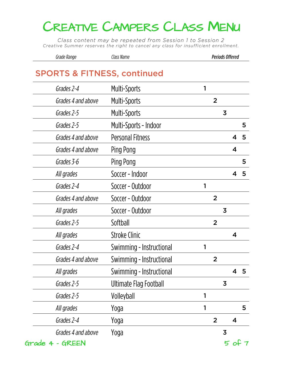Class content may be repeated from Session 1 to Session 2 Creative Summer reserves the right to cancel any class for insufficient enrollment.

| Grade Range | Class Name | <b>Periods Offered</b> |
|-------------|------------|------------------------|
|-------------|------------|------------------------|

#### **SPORTS & FITNESS, continued**

| Grades 2-4         | Multi-Sports             |   |                |                |                         |   |
|--------------------|--------------------------|---|----------------|----------------|-------------------------|---|
| Grades 4 and above | <b>Multi-Sports</b>      |   | $\overline{2}$ |                |                         |   |
| Grades 2-5         | <b>Multi-Sports</b>      |   |                | $\overline{3}$ |                         |   |
| Grades 2-5         | Multi-Sports - Indoor    |   |                |                |                         | 5 |
| Grades 4 and above | <b>Personal Fitness</b>  |   |                |                | 4                       | 5 |
| Grades 4 and above | Ping Pong                |   |                |                | $\overline{\mathbf{4}}$ |   |
| Grades 3-6         | Ping Pong                |   |                |                |                         | 5 |
| All grades         | Soccer - Indoor          |   |                |                | 4                       | 5 |
| Grades 2-4         | Soccer - Outdoor         | 1 |                |                |                         |   |
| Grades 4 and above | Soccer - Outdoor         |   | $\overline{2}$ |                |                         |   |
| All grades         | Soccer - Outdoor         |   |                | $\overline{3}$ |                         |   |
| Grades 2-5         | Softball                 |   | $\overline{2}$ |                |                         |   |
| All grades         | <b>Stroke Clinic</b>     |   |                |                | $\boldsymbol{4}$        |   |
| Grades 2-4         | Swimming - Instructional | 1 |                |                |                         |   |
| Grades 4 and above | Swimming - Instructional |   | $\overline{2}$ |                |                         |   |
| All grades         | Swimming - Instructional |   |                |                | 4                       | 5 |
| Grades 2-5         | Ultimate Flag Football   |   |                | 3              |                         |   |
| Grades 2-5         | Volleyball               | 1 |                |                |                         |   |
| All grades         | Yoga                     | 1 |                |                |                         | 5 |
| Grades 2-4         | Yoga                     |   | $\overline{2}$ |                | 4                       |   |
| Grades 4 and above | Yoga                     |   |                | $\overline{3}$ |                         |   |
| Grade 4 - GREEN    |                          |   |                |                | $5$ of                  |   |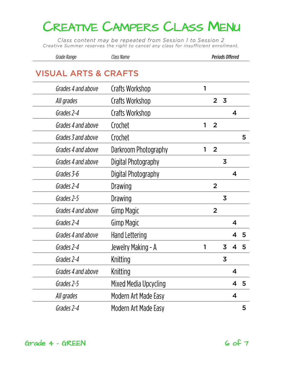Class content may be repeated from Session 1 to Session 2 Creative Summer reserves the right to cancel any class for insufficient enrollment.

| Grade Range | Class Name | <b>Periods Offered</b> |
|-------------|------------|------------------------|
|-------------|------------|------------------------|

### **VISUAL ARTS & CRAFTS**

| Grades 4 and above | Crafts Workshop        | 1 |                |                         |                         |   |
|--------------------|------------------------|---|----------------|-------------------------|-------------------------|---|
| All grades         | Crafts Workshop        |   | $\overline{2}$ | $\overline{\mathbf{3}}$ |                         |   |
| Grades 2-4         | <b>Crafts Workshop</b> |   |                |                         | $\overline{\mathbf{4}}$ |   |
| Grades 4 and above | Crochet                | 1 | $\overline{2}$ |                         |                         |   |
| Grades 3 and above | Crochet                |   |                |                         |                         | 5 |
| Grades 4 and above | Darkroom Photography   | 1 | $\overline{2}$ |                         |                         |   |
| Grades 4 and above | Digital Photography    |   |                | 3                       |                         |   |
| Grades 3-6         | Digital Photography    |   |                |                         | $\boldsymbol{4}$        |   |
| Grades 2-4         | Drawing                |   | $\overline{2}$ |                         |                         |   |
| Grades 2-5         | Drawing                |   |                | $\overline{3}$          |                         |   |
| Grades 4 and above | <b>Gimp Magic</b>      |   | $\overline{2}$ |                         |                         |   |
| Grades 2-4         | <b>Gimp Magic</b>      |   |                |                         | $\overline{\mathbf{4}}$ |   |
| Grades 4 and above | <b>Hand Lettering</b>  |   |                |                         | 4                       | 5 |
| Grades 2-4         | Jewelry Making - A     | 1 |                | 3                       | $\overline{\mathbf{4}}$ | 5 |
| Grades 2-4         | Knitting               |   |                | $\overline{3}$          |                         |   |
| Grades 4 and above | Knitting               |   |                |                         | $\boldsymbol{4}$        |   |
| Grades 2-5         | Mixed Media Upcycling  |   |                |                         | 4                       | 5 |
| All grades         | Modern Art Made Easy   |   |                |                         | $\overline{\mathbf{4}}$ |   |
| Grades 2-4         | Modern Art Made Easy   |   |                |                         |                         | 5 |
|                    |                        |   |                |                         |                         |   |

 $Grade$  4 - GREEN 6 of 7